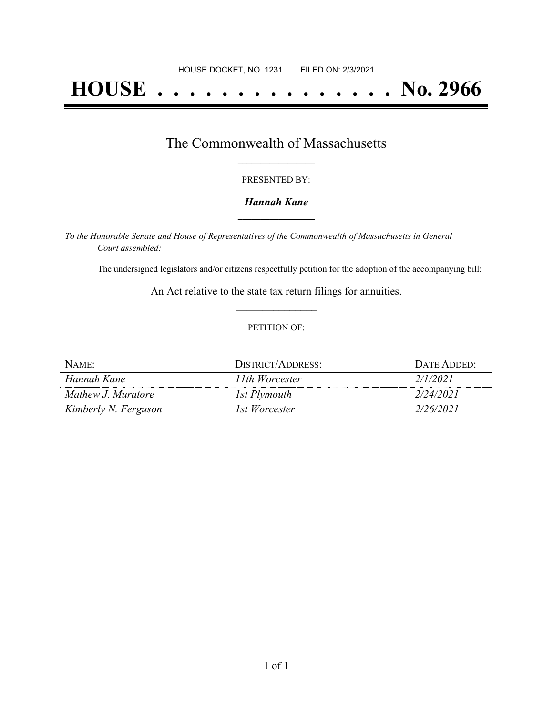# **HOUSE . . . . . . . . . . . . . . . No. 2966**

## The Commonwealth of Massachusetts **\_\_\_\_\_\_\_\_\_\_\_\_\_\_\_\_\_**

#### PRESENTED BY:

#### *Hannah Kane* **\_\_\_\_\_\_\_\_\_\_\_\_\_\_\_\_\_**

*To the Honorable Senate and House of Representatives of the Commonwealth of Massachusetts in General Court assembled:*

The undersigned legislators and/or citizens respectfully petition for the adoption of the accompanying bill:

An Act relative to the state tax return filings for annuities. **\_\_\_\_\_\_\_\_\_\_\_\_\_\_\_**

#### PETITION OF:

| NAME:                | DISTRICT/ADDRESS: | DATE ADDED: |
|----------------------|-------------------|-------------|
| Hannah Kane          | 11th Worcester    | 2/1/2021    |
| Mathew J. Muratore   | 1st Plymouth      | 2/24/2021   |
| Kimberly N. Ferguson | 1st Worcester     | 2/26/2021   |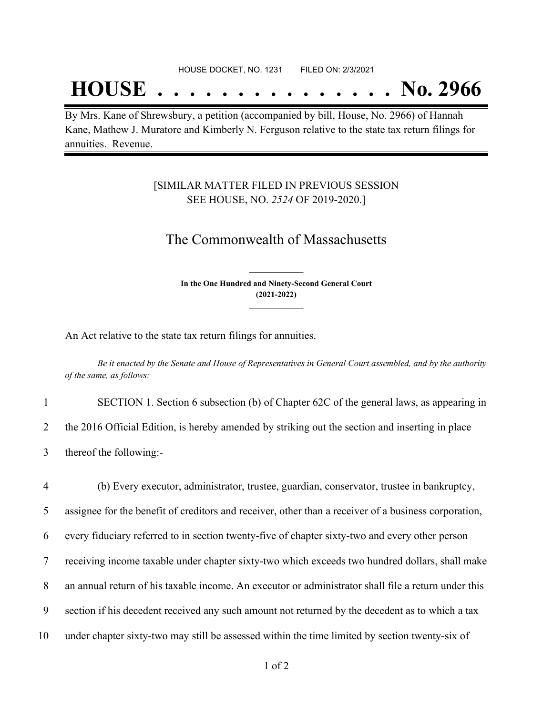#### HOUSE DOCKET, NO. 1231 FILED ON: 2/3/2021

## **HOUSE . . . . . . . . . . . . . . . No. 2966**

By Mrs. Kane of Shrewsbury, a petition (accompanied by bill, House, No. 2966) of Hannah Kane, Mathew J. Muratore and Kimberly N. Ferguson relative to the state tax return filings for annuities. Revenue.

### [SIMILAR MATTER FILED IN PREVIOUS SESSION SEE HOUSE, NO. *2524* OF 2019-2020.]

## The Commonwealth of Massachusetts

**In the One Hundred and Ninety-Second General Court (2021-2022) \_\_\_\_\_\_\_\_\_\_\_\_\_\_\_**

**\_\_\_\_\_\_\_\_\_\_\_\_\_\_\_**

An Act relative to the state tax return filings for annuities.

Be it enacted by the Senate and House of Representatives in General Court assembled, and by the authority *of the same, as follows:*

1 SECTION 1. Section 6 subsection (b) of Chapter 62C of the general laws, as appearing in

2 the 2016 Official Edition, is hereby amended by striking out the section and inserting in place

3 thereof the following:-

 (b) Every executor, administrator, trustee, guardian, conservator, trustee in bankruptcy, assignee for the benefit of creditors and receiver, other than a receiver of a business corporation, every fiduciary referred to in section twenty-five of chapter sixty-two and every other person receiving income taxable under chapter sixty-two which exceeds two hundred dollars, shall make an annual return of his taxable income. An executor or administrator shall file a return under this section if his decedent received any such amount not returned by the decedent as to which a tax under chapter sixty-two may still be assessed within the time limited by section twenty-six of